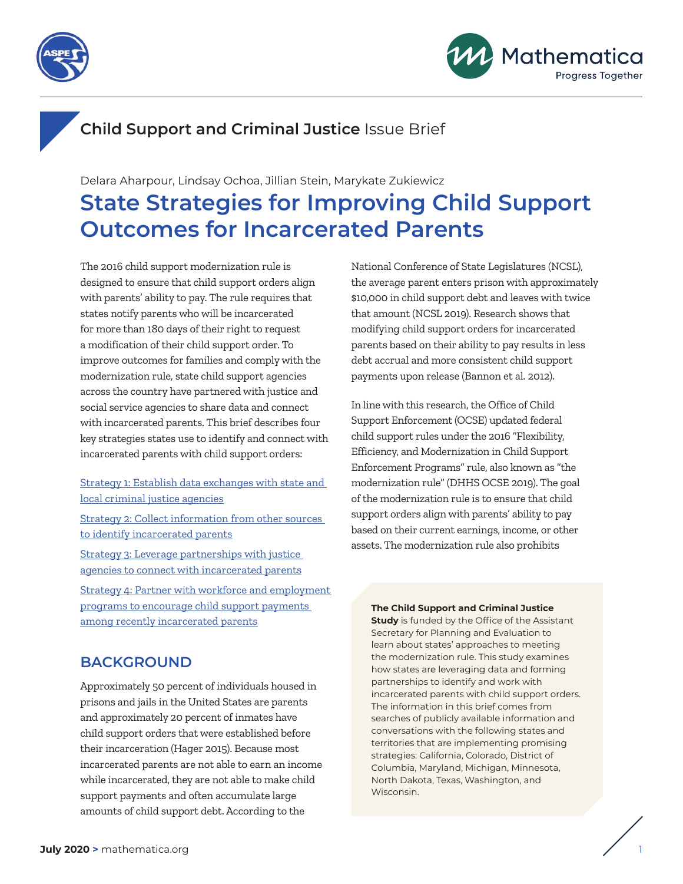



# **Child Support and Criminal Justice** Issue Brief

Delara Aharpour, Lindsay Ochoa, Jillian Stein, Marykate Zukiewicz **State Strategies for Improving Child Support Outcomes for Incarcerated Parents**

The 2016 child support modernization rule is designed to ensure that child support orders align with parents' ability to pay. The rule requires that states notify parents who will be incarcerated for more than 180 days of their right to request a modification of their child support order. To improve outcomes for families and comply with the modernization rule, state child support agencies across the country have partnered with justice and social service agencies to share data and connect with incarcerated parents. This brief describes four key strategies states use to identify and connect with incarcerated parents with child support orders:

[Strategy 1: Establish data exchanges with state and](#page-2-0)  [local criminal justice agencies](#page-2-0)

[Strategy 2: Collect information from other sources](#page-4-0)  [to identify incarcerated parents](#page-4-0)

[Strategy 3: Leverage partnerships with justice](#page-7-0)  [agencies to connect with incarcerated parents](#page-7-0) [Strategy 4: Partner with workforce and employment](#page-8-0)  [programs to encourage child support payments](#page-8-0) 

[among recently incarcerated parents](#page-8-0)

### **BACKGROUND**

Approximately 50 percent of individuals housed in prisons and jails in the United States are parents and approximately 20 percent of inmates have child support orders that were established before their incarceration (Hager 2015). Because most incarcerated parents are not able to earn an income while incarcerated, they are not able to make child support payments and often accumulate large amounts of child support debt. According to the

National Conference of State Legislatures (NCSL), the average parent enters prison with approximately \$10,000 in child support debt and leaves with twice that amount (NCSL 2019). Research shows that modifying child support orders for incarcerated parents based on their ability to pay results in less debt accrual and more consistent child support payments upon release (Bannon et al. 2012).

In line with this research, the Office of Child Support Enforcement (OCSE) updated federal child support rules under the 2016 "Flexibility, Efficiency, and Modernization in Child Support Enforcement Programs" rule, also known as "the modernization rule" (DHHS OCSE 2019). The goal of the modernization rule is to ensure that child support orders align with parents' ability to pay based on their current earnings, income, or other assets. The modernization rule also prohibits

#### **The Child Support and Criminal Justice**

**Study** is funded by the Office of the Assistant Secretary for Planning and Evaluation to learn about states' approaches to meeting the modernization rule. This study examines how states are leveraging data and forming partnerships to identify and work with incarcerated parents with child support orders. The information in this brief comes from searches of publicly available information and conversations with the following states and territories that are implementing promising strategies: California, Colorado, District of Columbia, Maryland, Michigan, Minnesota, North Dakota, Texas, Washington, and Wisconsin.

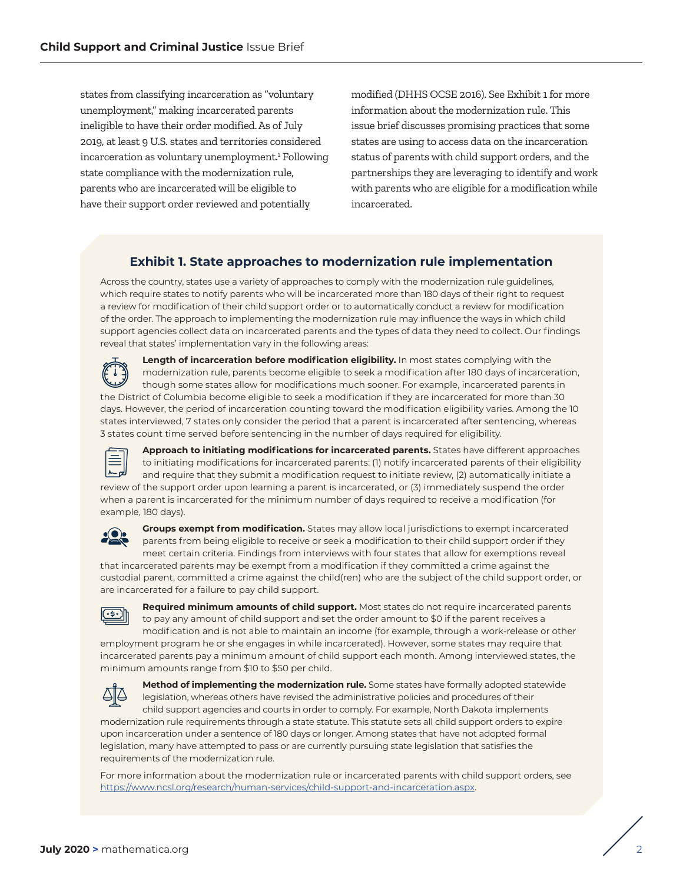states from classifying incarceration as "voluntary unemployment," making incarcerated parents ineligible to have their order modified.As of July 2019, at least 9 U.S. states and territories considered incarceration as voluntary unemploymen[t.1](#page-12-0) Following state compliance with the modernization rule, parents who are incarcerated will be eligible to have their support order reviewed and potentially

modified (DHHS OCSE 2016). See Exhibit 1 for more information about the modernization rule. This issue brief discusses promising practices that some states are using to access data on the incarceration status of parents with child support orders, and the partnerships they are leveraging to identify and work with parents who are eligible for a modification while incarcerated.

#### **Exhibit 1. State approaches to modernization rule implementation**

Across the country, states use a variety of approaches to comply with the modernization rule guidelines, which require states to notify parents who will be incarcerated more than 180 days of their right to request a review for modification of their child support order or to automatically conduct a review for modification of the order. The approach to implementing the modernization rule may influence the ways in which child support agencies collect data on incarcerated parents and the types of data they need to collect. Our findings reveal that states' implementation vary in the following areas:



**Length of incarceration before modification eligibility.** In most states complying with the modernization rule, parents become eligible to seek a modification after 180 days of incarceration, though some states allow for modifications much sooner. For example, incarcerated parents in the District of Columbia become eligible to seek a modification if they are incarcerated for more than 30 days. However, the period of incarceration counting toward the modification eligibility varies. Among the 10 states interviewed, 7 states only consider the period that a parent is incarcerated after sentencing, whereas 3 states count time served before sentencing in the number of days required for eligibility.



**Approach to initiating modifications for incarcerated parents.** States have different approaches to initiating modifications for incarcerated parents: (1) notify incarcerated parents of their eligibility and require that they submit a modification request to initiate review, (2) automatically initiate a review of the support order upon learning a parent is incarcerated, or (3) immediately suspend the order when a parent is incarcerated for the minimum number of days required to receive a modification (for example, 180 days).



**Groups exempt from modification.** States may allow local jurisdictions to exempt incarcerated parents from being eligible to receive or seek a modification to their child support order if they meet certain criteria. Findings from interviews with four states that allow for exemptions reveal that incarcerated parents may be exempt from a modification if they committed a crime against the

custodial parent, committed a crime against the child(ren) who are the subject of the child support order, or are incarcerated for a failure to pay child support.



**Required minimum amounts of child support.** Most states do not require incarcerated parents to pay any amount of child support and set the order amount to \$0 if the parent receives a modification and is not able to maintain an income (for example, through a work-release or other

employment program he or she engages in while incarcerated). However, some states may require that incarcerated parents pay a minimum amount of child support each month. Among interviewed states, the minimum amounts range from \$10 to \$50 per child.



**Method of implementing the modernization rule.** Some states have formally adopted statewide legislation, whereas others have revised the administrative policies and procedures of their child support agencies and courts in order to comply. For example, North Dakota implements

modernization rule requirements through a state statute. This statute sets all child support orders to expire upon incarceration under a sentence of 180 days or longer. Among states that have not adopted formal legislation, many have attempted to pass or are currently pursuing state legislation that satisfies the requirements of the modernization rule.

For more information about the modernization rule or incarcerated parents with child support orders, see <https://www.ncsl.org/research/human-services/child-support-and-incarceration.aspx>.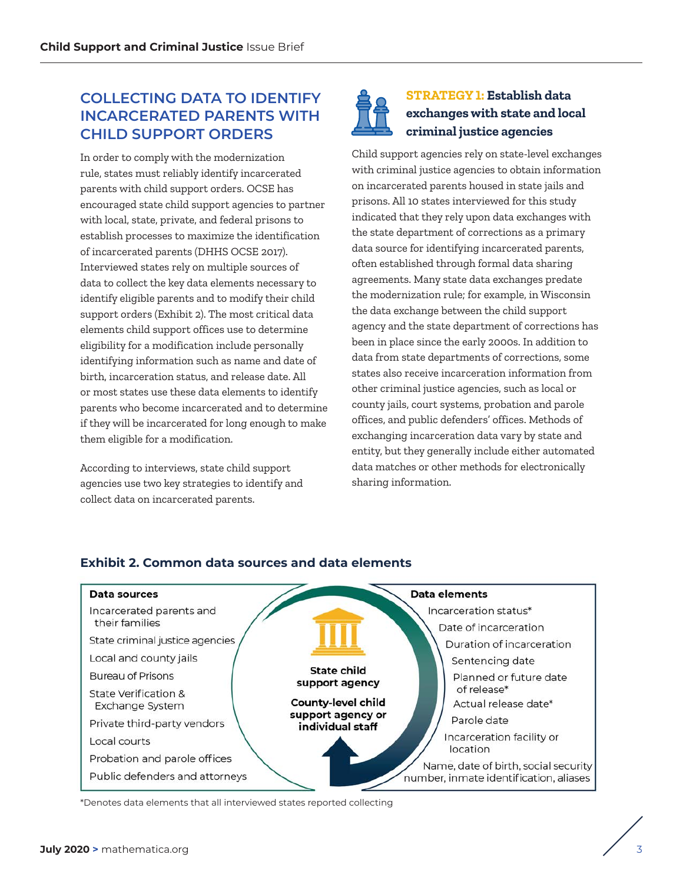## <span id="page-2-0"></span> **COLLECTING DATA TO IDENTIFY INCARCERATED PARENTS WITH CHILD SUPPORT ORDERS**

In order to comply with the modernization rule, states must reliably identify incarcerated parents with child support orders. OCSE has encouraged state child support agencies to partner with local, state, private, and federal prisons to establish processes to maximize the identification of incarcerated parents (DHHS OCSE 2017). Interviewed states rely on multiple sources of data to collect the key data elements necessary to identify eligible parents and to modify their child support orders (Exhibit 2). The most critical data elements child support offices use to determine eligibility for a modification include personally identifying information such as name and date of birth, incarceration status, and release date. All or most states use these data elements to identify parents who become incarcerated and to determine if they will be incarcerated for long enough to make them eligible for a modification.

According to interviews, state child support agencies use two key strategies to identify and collect data on incarcerated parents.

### **STRATEGY 1: Establish data exchanges with state and local criminal justice agencies**

Child support agencies rely on state-level exchanges with criminal justice agencies to obtain information on incarcerated parents housed in state jails and prisons. All 10 states interviewed for this study indicated that they rely upon data exchanges with the state department of corrections as a primary data source for identifying incarcerated parents, often established through formal data sharing agreements. Many state data exchanges predate the modernization rule; for example, in Wisconsin the data exchange between the child support agency and the state department of corrections has been in place since the early 2000s. In addition to data from state departments of corrections, some states also receive incarceration information from other criminal justice agencies, such as local or county jails, court systems, probation and parole offices, and public defenders' offices. Methods of exchanging incarceration data vary by state and entity, but they generally include either automated data matches or other methods for electronically sharing information.



### **Exhibit 2. Common data sources and data elements**

\*Denotes data elements that all interviewed states reported collecting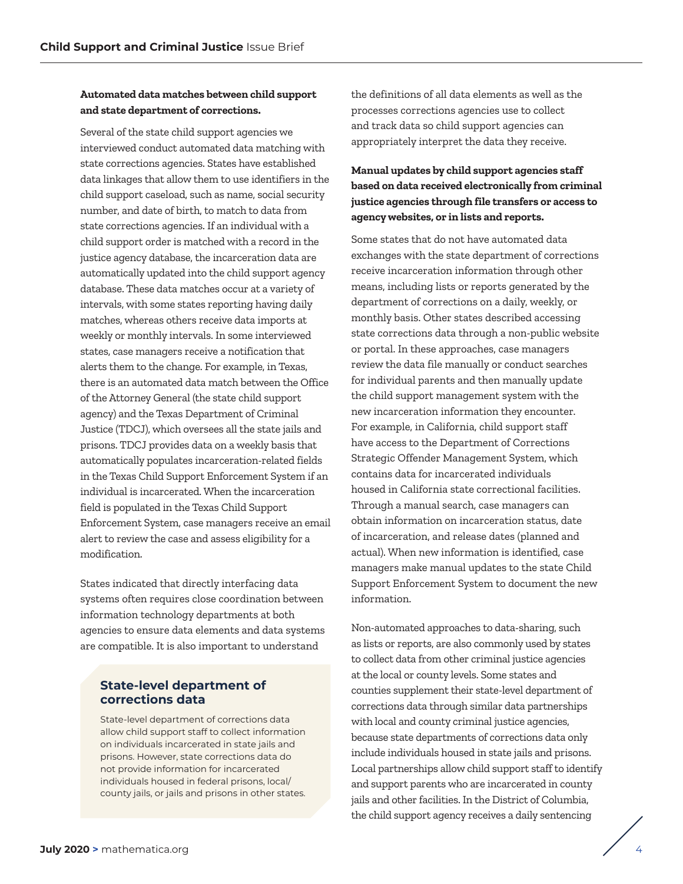#### **Automated data matches between child support and state department of corrections.**

Several of the state child support agencies we interviewed conduct automated data matching with state corrections agencies. States have established data linkages that allow them to use identifiers in the child support caseload, such as name, social security number, and date of birth, to match to data from state corrections agencies. If an individual with a child support order is matched with a record in the justice agency database, the incarceration data are automatically updated into the child support agency database. These data matches occur at a variety of intervals, with some states reporting having daily matches, whereas others receive data imports at weekly or monthly intervals. In some interviewed states, case managers receive a notification that alerts them to the change. For example, in Texas, there is an automated data match between the Office of the Attorney General (the state child support agency) and the Texas Department of Criminal Justice (TDCJ), which oversees all the state jails and prisons. TDCJ provides data on a weekly basis that automatically populates incarceration-related fields in the Texas Child Support Enforcement System if an individual is incarcerated. When the incarceration field is populated in the Texas Child Support Enforcement System, case managers receive an email alert to review the case and assess eligibility for a modification.

States indicated that directly interfacing data systems often requires close coordination between information technology departments at both agencies to ensure data elements and data systems are compatible. It is also important to understand

### **State-level department of corrections data**

State-level department of corrections data allow child support staff to collect information on individuals incarcerated in state jails and prisons. However, state corrections data do not provide information for incarcerated individuals housed in federal prisons, local/ county jails, or jails and prisons in other states.

the definitions of all data elements as well as the processes corrections agencies use to collect and track data so child support agencies can appropriately interpret the data they receive.

### **Manual updates by child support agencies staff based on data received electronically from criminal justice agencies through file transfers or access to agency websites, or in lists and reports.**

Some states that do not have automated data exchanges with the state department of corrections receive incarceration information through other means, including lists or reports generated by the department of corrections on a daily, weekly, or monthly basis. Other states described accessing state corrections data through a non-public website or portal. In these approaches, case managers review the data file manually or conduct searches for individual parents and then manually update the child support management system with the new incarceration information they encounter. For example, in California, child support staff have access to the Department of Corrections Strategic Offender Management System, which contains data for incarcerated individuals housed in California state correctional facilities. Through a manual search, case managers can obtain information on incarceration status, date of incarceration, and release dates (planned and actual). When new information is identified, case managers make manual updates to the state Child Support Enforcement System to document the new information.

Non-automated approaches to data-sharing, such as lists or reports, are also commonly used by states to collect data from other criminal justice agencies at the local or county levels. Some states and counties supplement their state-level department of corrections data through similar data partnerships with local and county criminal justice agencies, because state departments of corrections data only include individuals housed in state jails and prisons. Local partnerships allow child support staff to identify and support parents who are incarcerated in county jails and other facilities. In the District of Columbia, the child support agency receives a daily sentencing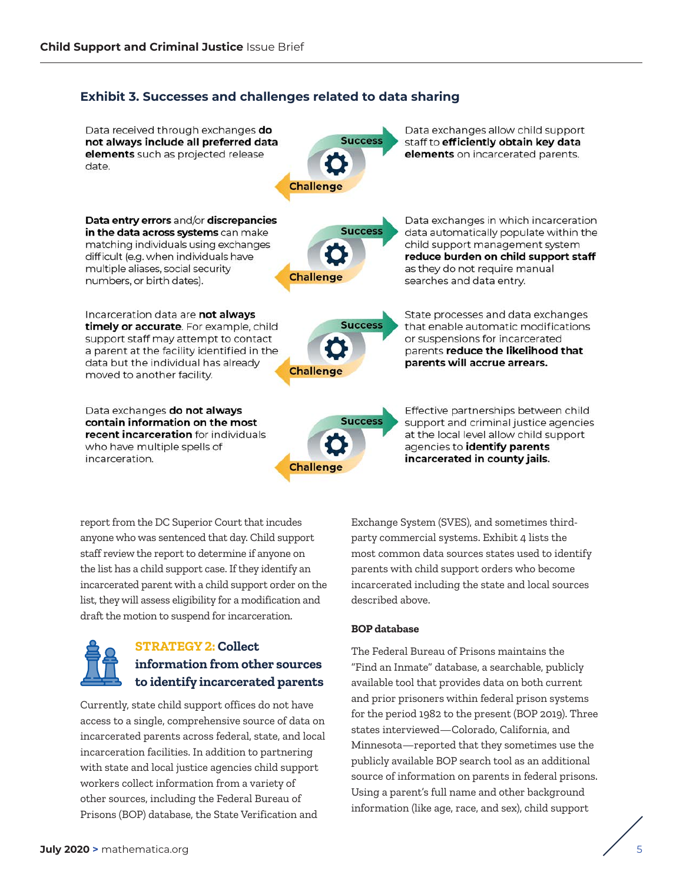#### <span id="page-4-0"></span>**Exhibit 3. Successes and challenges related to data sharing**

Data received through exchanges do not always include all preferred data elements such as projected release date



**Success** 

Data exchanges allow child support staff to efficiently obtain key data elements on incarcerated parents.

Data entry errors and/or discrepancies in the data across systems can make matching individuals using exchanges difficult (e.g. when individuals have multiple aliases, social security numbers, or birth dates).

Incarceration data are not always timely or accurate. For example, child support staff may attempt to contact a parent at the facility identified in the data but the individual has already moved to another facility.

Data exchanges do not always contain information on the most recent incarceration for individuals who have multiple spells of incarceration.



**Challenge** 

Data exchanges in which incarceration data automatically populate within the child support management system reduce burden on child support staff as they do not require manual searches and data entry.

State processes and data exchanges that enable automatic modifications or suspensions for incarcerated parents reduce the likelihood that parents will accrue arrears.

**Success Challenge** 

Effective partnerships between child support and criminal justice agencies at the local level allow child support agencies to identify parents incarcerated in county jails.

report from the DC Superior Court that incudes anyone who was sentenced that day. Child support staff review the report to determine if anyone on the list has a child support case. If they identify an incarcerated parent with a child support order on the list, they will assess eligibility for a modification and draft the motion to suspend for incarceration.



### **STRATEGY 2: Collect information from other sources to identify incarcerated parents**

Currently, state child support offices do not have access to a single, comprehensive source of data on incarcerated parents across federal, state, and local incarceration facilities. In addition to partnering with state and local justice agencies child support workers collect information from a variety of other sources, including the Federal Bureau of Prisons (BOP) database, the State Verification and

Exchange System (SVES), and sometimes thirdparty commercial systems. Exhibit 4 lists the most common data sources states used to identify parents with child support orders who become incarcerated including the state and local sources described above.

#### **BOP database**

The Federal Bureau of Prisons maintains the "Find an Inmate" database, a searchable, publicly available tool that provides data on both current and prior prisoners within federal prison systems for the period 1982 to the present (BOP 2019). Three states interviewed—Colorado, California, and Minnesota—reported that they sometimes use the publicly available BOP search tool as an additional source of information on parents in federal prisons. Using a parent's full name and other background information (like age, race, and sex), child support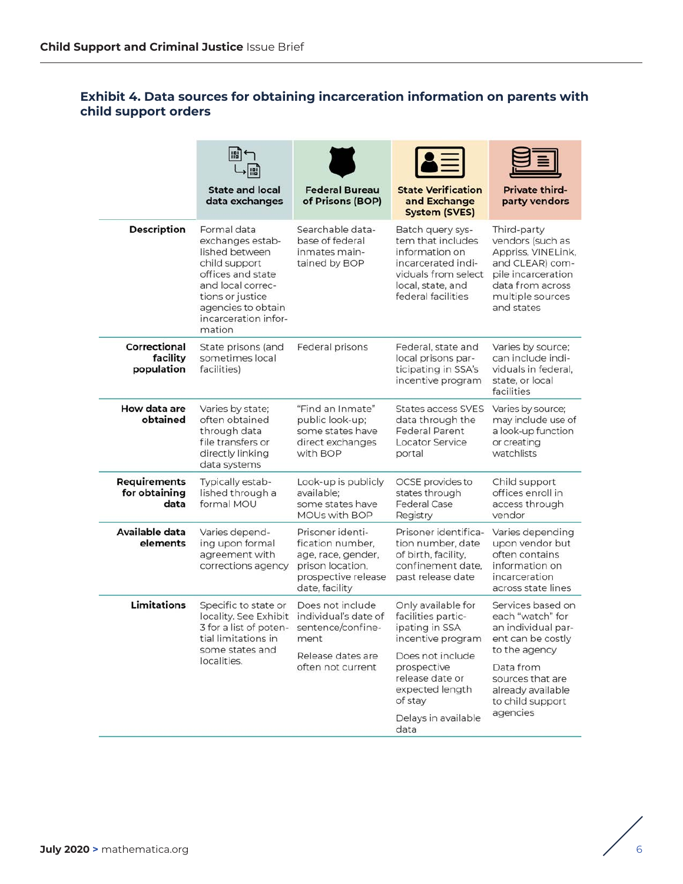### **Exhibit 4. Data sources for obtaining incarceration information on parents with child support orders**

|                                              | <b>State and local</b><br>data exchanges                                                                                                                                                 | <b>Federal Bureau</b><br>of Prisons (BOP)                                                                               | <b>State Verification</b><br>and Exchange<br><b>System (SVES)</b>                                                                                                   | <b>Private third-</b><br>party vendors                                                                                                                                      |
|----------------------------------------------|------------------------------------------------------------------------------------------------------------------------------------------------------------------------------------------|-------------------------------------------------------------------------------------------------------------------------|---------------------------------------------------------------------------------------------------------------------------------------------------------------------|-----------------------------------------------------------------------------------------------------------------------------------------------------------------------------|
| <b>Description</b>                           | Formal data<br>exchanges estab-<br>lished between<br>child support<br>offices and state<br>and local correc-<br>tions or justice<br>agencies to obtain<br>incarceration infor-<br>mation | Searchable data-<br>base of federal<br>inmates main-<br>tained by BOP                                                   | Batch query sys-<br>tem that includes<br>information on<br>incarcerated indi-<br>viduals from select<br>local, state, and<br>federal facilities                     | Third-party<br>vendors (such as<br>Appriss, VINELink,<br>and CLEAR) com-<br>pile incarceration<br>data from across<br>multiple sources<br>and states                        |
| Correctional<br>facility<br>population       | State prisons (and<br>sometimes local<br>facilities)                                                                                                                                     | Federal prisons                                                                                                         | Federal, state and<br>local prisons par-<br>ticipating in SSA's<br>incentive program                                                                                | Varies by source;<br>can include indi-<br>viduals in federal.<br>state, or local<br>facilities                                                                              |
| How data are<br>obtained                     | Varies by state;<br>often obtained<br>through data<br>file transfers or<br>directly linking<br>data systems                                                                              | "Find an Inmate"<br>public look-up;<br>some states have<br>direct exchanges<br>with BOP                                 | <b>States access SVES</b><br>data through the<br><b>Federal Parent</b><br><b>Locator Service</b><br>portal                                                          | Varies by source;<br>may include use of<br>a look-up function<br>or creating<br>watchlists                                                                                  |
| <b>Requirements</b><br>for obtaining<br>data | Typically estab-<br>lished through a<br>formal MOU                                                                                                                                       | Look-up is publicly<br>available:<br>some states have<br><b>MOUs with BOP</b>                                           | OCSE provides to<br>states through<br><b>Federal Case</b><br>Registry                                                                                               | Child support<br>offices enroll in<br>access through<br>vendor                                                                                                              |
| Available data<br>elements                   | Varies depend-<br>ing upon formal<br>agreement with<br>corrections agency                                                                                                                | Prisoner identi-<br>fication number,<br>age, race, gender,<br>prison location,<br>prospective release<br>date, facility | Prisoner identifica-<br>tion number, date<br>of birth, facility,<br>confinement date.<br>past release date                                                          | Varies depending<br>upon vendor but<br>often contains<br>information on<br>incarceration<br>across state lines                                                              |
| Limitations                                  | Specific to state or<br>locality. See Exhibit<br>3 for a list of poten-<br>tial limitations in<br>some states and<br>localities.                                                         | Does not include<br>individual's date of<br>sentence/confine-<br>ment<br>Release dates are<br>often not current         | Only available for<br>facilities partic-<br>ipating in SSA<br>incentive program<br>Does not include<br>prospective<br>release date or<br>expected length<br>of stay | Services based on<br>each "watch" for<br>an individual par-<br>ent can be costly<br>to the agency<br>Data from<br>sources that are<br>already available<br>to child support |
|                                              |                                                                                                                                                                                          |                                                                                                                         | Delays in available<br>data                                                                                                                                         | agencies                                                                                                                                                                    |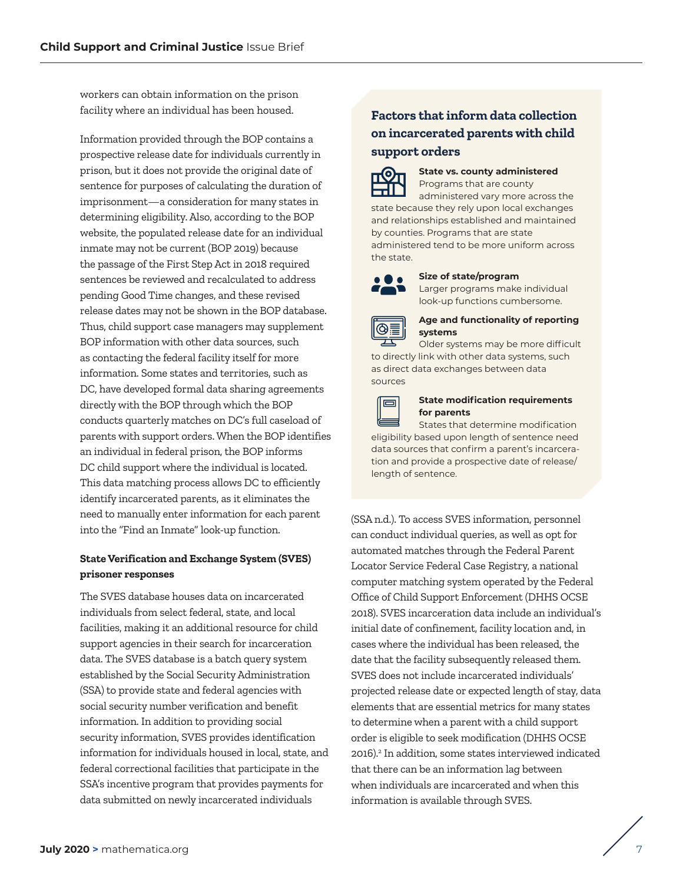workers can obtain information on the prison facility where an individual has been housed.

Information provided through the BOP contains a prospective release date for individuals currently in prison, but it does not provide the original date of sentence for purposes of calculating the duration of imprisonment—a consideration for many states in determining eligibility. Also, according to the BOP website, the populated release date for an individual inmate may not be current (BOP 2019) because the passage of the First Step Act in 2018 required sentences be reviewed and recalculated to address pending Good Time changes, and these revised release dates may not be shown in the BOP database. Thus, child support case managers may supplement BOP information with other data sources, such as contacting the federal facility itself for more information. Some states and territories, such as DC, have developed formal data sharing agreements directly with the BOP through which the BOP conducts quarterly matches on DC's full caseload of parents with support orders. When the BOP identifies an individual in federal prison, the BOP informs DC child support where the individual is located. This data matching process allows DC to efficiently identify incarcerated parents, as it eliminates the need to manually enter information for each parent into the "Find an Inmate" look-up function.

#### **State Verification and Exchange System (SVES) prisoner responses**

The SVES database houses data on incarcerated individuals from select federal, state, and local facilities, making it an additional resource for child support agencies in their search for incarceration data. The SVES database is a batch query system established by the Social Security Administration (SSA) to provide state and federal agencies with social security number verification and benefit information. In addition to providing social security information, SVES provides identification information for individuals housed in local, state, and federal correctional facilities that participate in the SSA's incentive program that provides payments for data submitted on newly incarcerated individuals

### **Factors that inform data collection on incarcerated parents with child support orders**



**State vs. county administered**  Programs that are county

administered vary more across the state because they rely upon local exchanges and relationships established and maintained by counties. Programs that are state administered tend to be more uniform across the state.



**Size of state/program**  Larger programs make individual look-up functions cumbersome.



#### **Age and functionality of reporting systems**

Older systems may be more difficult to directly link with other data systems, such as direct data exchanges between data



sources

#### **State modification requirements for parents**

States that determine modification eligibility based upon length of sentence need data sources that confirm a parent's incarceration and provide a prospective date of release/ length of sentence.

(SSA n.d.). To access SVES information, personnel can conduct individual queries, as well as opt for automated matches through the Federal Parent Locator Service Federal Case Registry, a national computer matching system operated by the Federal Office of Child Support Enforcement (DHHS OCSE 2018). SVES incarceration data include an individual's initial date of confinement, facility location and, in cases where the individual has been released, the date that the facility subsequently released them. SVES does not include incarcerated individuals' projected release date or expected length of stay, data elements that are essential metrics for many states to determine when a parent with a child support order is eligible to seek modification (DHHS OCSE 2016).<sup>2</sup> In addition, some states interviewed indicated that there can be an information lag between when individuals are incarcerated and when this information is available through SVES.

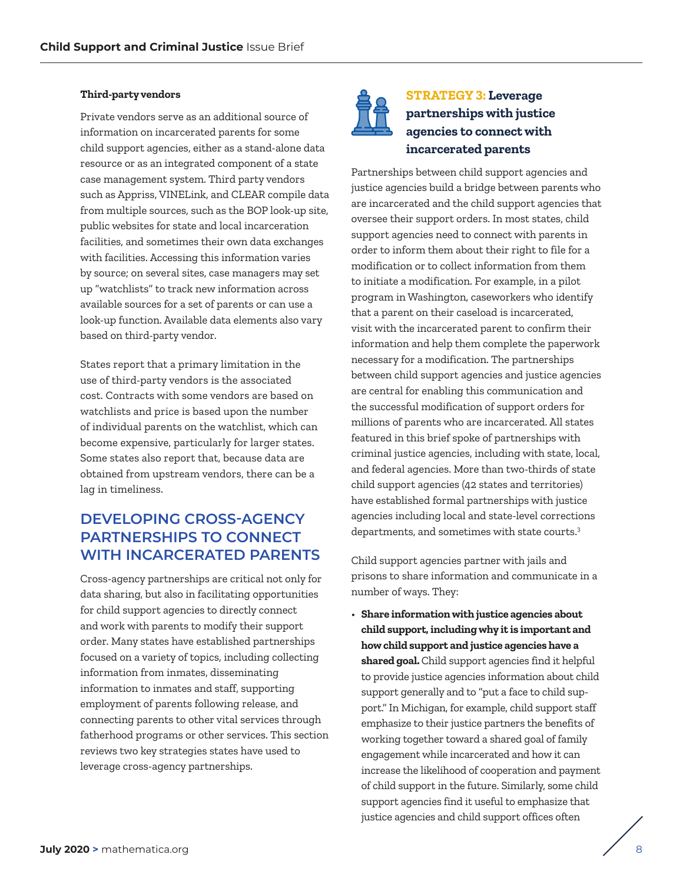#### <span id="page-7-0"></span>**Third-party vendors**

Private vendors serve as an additional source of information on incarcerated parents for some child support agencies, either as a stand-alone data resource or as an integrated component of a state case management system. Third party vendors such as Appriss, VINELink, and CLEAR compile data from multiple sources, such as the BOP look-up site, public websites for state and local incarceration facilities, and sometimes their own data exchanges with facilities. Accessing this information varies by source; on several sites, case managers may set up "watchlists" to track new information across available sources for a set of parents or can use a look-up function. Available data elements also vary based on third-party vendor.

States report that a primary limitation in the use of third-party vendors is the associated cost. Contracts with some vendors are based on watchlists and price is based upon the number of individual parents on the watchlist, which can become expensive, particularly for larger states. Some states also report that, because data are obtained from upstream vendors, there can be a lag in timeliness.

### **DEVELOPING CROSS-AGENCY PARTNERSHIPS TO CONNECT WITH INCARCERATED PARENTS**

Cross-agency partnerships are critical not only for data sharing, but also in facilitating opportunities for child support agencies to directly connect and work with parents to modify their support order. Many states have established partnerships focused on a variety of topics, including collecting information from inmates, disseminating information to inmates and staff, supporting employment of parents following release, and connecting parents to other vital services through fatherhood programs or other services. This section reviews two key strategies states have used to leverage cross-agency partnerships.



### **STRATEGY 3: Leverage partnerships with justice agencies to connect with incarcerated parents**

Partnerships between child support agencies and justice agencies build a bridge between parents who are incarcerated and the child support agencies that oversee their support orders. In most states, child support agencies need to connect with parents in order to inform them about their right to file for a modification or to collect information from them to initiate a modification. For example, in a pilot program in Washington, caseworkers who identify that a parent on their caseload is incarcerated, visit with the incarcerated parent to confirm their information and help them complete the paperwork necessary for a modification. The partnerships between child support agencies and justice agencies are central for enabling this communication and the successful modification of support orders for millions of parents who are incarcerated. All states featured in this brief spoke of partnerships with criminal justice agencies, including with state, local, and federal agencies. More than two-thirds of state child support agencies (42 states and territories) have established formal partnerships with justice agencies including local and state-level corrections departments, and sometimes with state courts[.3](#page-12-0) 

Child support agencies partner with jails and prisons to share information and communicate in a number of ways. They:

• **Share information with justice agencies about child support, including why it is important and how child support and justice agencies have a shared goal.** Child support agencies find it helpful to provide justice agencies information about child support generally and to "put a face to child support." In Michigan, for example, child support staff emphasize to their justice partners the benefits of working together toward a shared goal of family engagement while incarcerated and how it can increase the likelihood of cooperation and payment of child support in the future. Similarly, some child support agencies find it useful to emphasize that justice agencies and child support offices often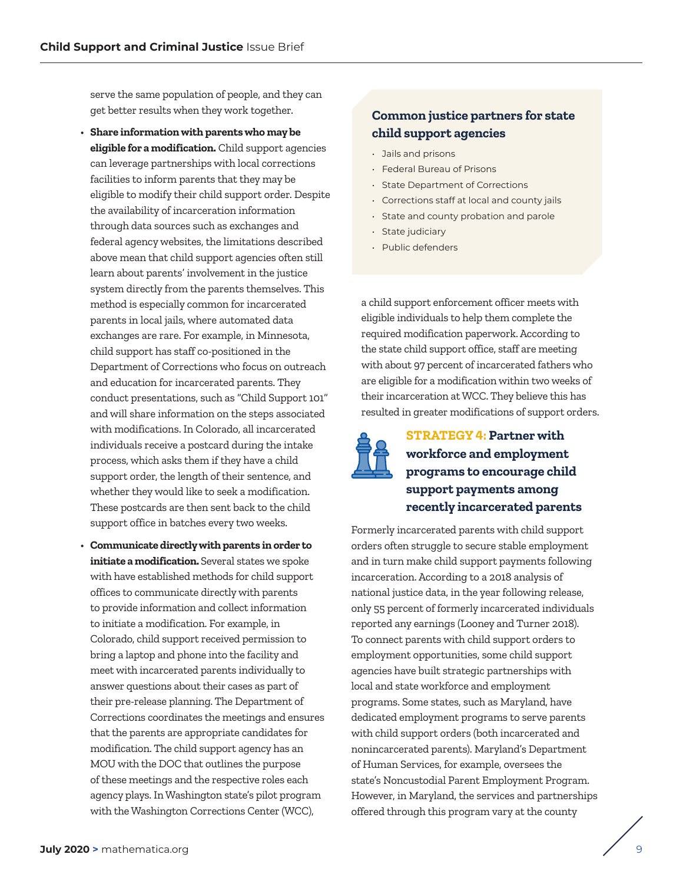<span id="page-8-0"></span>serve the same population of people, and they can get better results when they work together.

- **Share information with parents who may be eligible for a modification.** Child support agencies can leverage partnerships with local corrections facilities to inform parents that they may be eligible to modify their child support order. Despite the availability of incarceration information through data sources such as exchanges and federal agency websites, the limitations described above mean that child support agencies often still learn about parents' involvement in the justice system directly from the parents themselves. This method is especially common for incarcerated parents in local jails, where automated data exchanges are rare. For example, in Minnesota, child support has staff co-positioned in the Department of Corrections who focus on outreach and education for incarcerated parents. They conduct presentations, such as "Child Support 101" and will share information on the steps associated with modifications. In Colorado, all incarcerated individuals receive a postcard during the intake process, which asks them if they have a child support order, the length of their sentence, and whether they would like to seek a modification. These postcards are then sent back to the child support office in batches every two weeks.
- **Communicate directly with parents in order to initiate a modification.** Several states we spoke with have established methods for child support offices to communicate directly with parents to provide information and collect information to initiate a modification. For example, in Colorado, child support received permission to bring a laptop and phone into the facility and meet with incarcerated parents individually to answer questions about their cases as part of their pre-release planning. The Department of Corrections coordinates the meetings and ensures that the parents are appropriate candidates for modification. The child support agency has an MOU with the DOC that outlines the purpose of these meetings and the respective roles each agency plays. In Washington state's pilot program with the Washington Corrections Center (WCC),

### **Common justice partners for state child support agencies**

- Jails and prisons
- Federal Bureau of Prisons
- State Department of Corrections
- Corrections staff at local and county jails
- State and county probation and parole
- State judiciary
- Public defenders

a child support enforcement officer meets with eligible individuals to help them complete the required modification paperwork. According to the state child support office, staff are meeting with about 97 percent of incarcerated fathers who are eligible for a modification within two weeks of their incarceration at WCC. They believe this has resulted in greater modifications of support orders.



### **STRATEGY 4: Partner with workforce and employment programs to encourage child support payments among recently incarcerated parents**

Formerly incarcerated parents with child support orders often struggle to secure stable employment and in turn make child support payments following incarceration. According to a 2018 analysis of national justice data, in the year following release, only 55 percent of formerly incarcerated individuals reported any earnings (Looney and Turner 2018). To connect parents with child support orders to employment opportunities, some child support agencies have built strategic partnerships with local and state workforce and employment programs. Some states, such as Maryland, have dedicated employment programs to serve parents with child support orders (both incarcerated and nonincarcerated parents). Maryland's Department of Human Services, for example, oversees the state's Noncustodial Parent Employment Program. However, in Maryland, the services and partnerships offered through this program vary at the county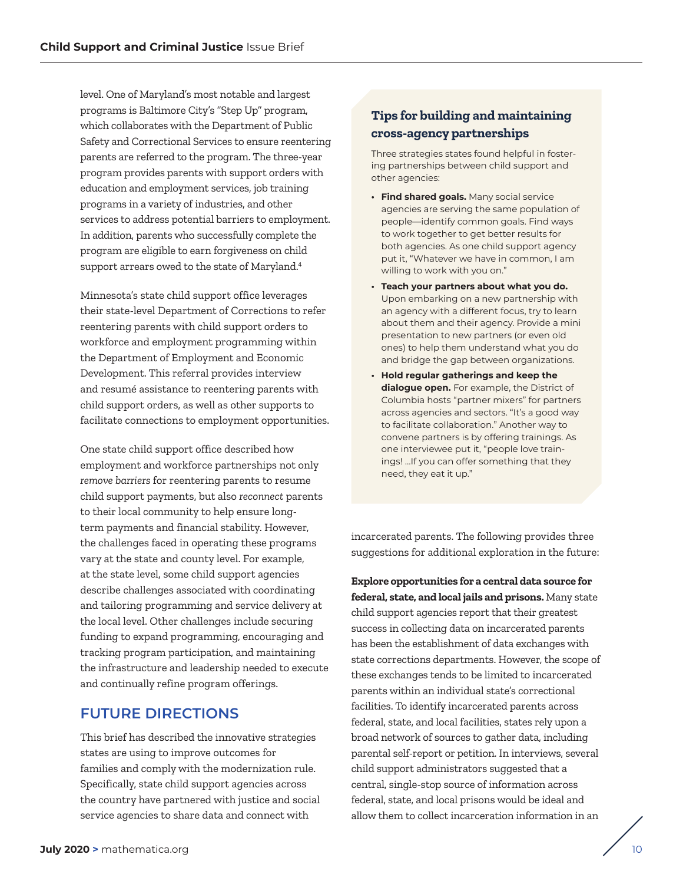level. One of Maryland's most notable and largest programs is Baltimore City's "Step Up" program, which collaborates with the Department of Public Safety and Correctional Services to ensure reentering parents are referred to the program. The three-year program provides parents with support orders with education and employment services, job training programs in a variety of industries, and other services to address potential barriers to employment. In addition, parents who successfully complete the program are eligible to earn forgiveness on child support arrears owed to the state of Maryland.<sup>4</sup>

Minnesota's state child support office leverages their state-level Department of Corrections to refer reentering parents with child support orders to workforce and employment programming within the Department of Employment and Economic Development. This referral provides interview and resumé assistance to reentering parents with child support orders, as well as other supports to facilitate connections to employment opportunities.

One state child support office described how employment and workforce partnerships not only *remove barriers* for reentering parents to resume child support payments, but also *reconnect* parents to their local community to help ensure longterm payments and financial stability. However, the challenges faced in operating these programs vary at the state and county level. For example, at the state level, some child support agencies describe challenges associated with coordinating and tailoring programming and service delivery at the local level. Other challenges include securing funding to expand programming, encouraging and tracking program participation, and maintaining the infrastructure and leadership needed to execute and continually refine program offerings.

### **FUTURE DIRECTIONS**

This brief has described the innovative strategies states are using to improve outcomes for families and comply with the modernization rule. Specifically, state child support agencies across the country have partnered with justice and social service agencies to share data and connect with

### **Tips for building and maintaining cross-agency partnerships**

Three strategies states found helpful in fostering partnerships between child support and other agencies:

- **Find shared goals.** Many social service agencies are serving the same population of people—identify common goals. Find ways to work together to get better results for both agencies. As one child support agency put it, "Whatever we have in common, I am willing to work with you on."
- **Teach your partners about what you do.**  Upon embarking on a new partnership with an agency with a different focus, try to learn about them and their agency. Provide a mini presentation to new partners (or even old ones) to help them understand what you do and bridge the gap between organizations.
- **Hold regular gatherings and keep the dialogue open.** For example, the District of Columbia hosts "partner mixers" for partners across agencies and sectors. "It's a good way to facilitate collaboration." Another way to convene partners is by offering trainings. As one interviewee put it, "people love trainings! …If you can offer something that they need, they eat it up."

incarcerated parents. The following provides three suggestions for additional exploration in the future:

**Explore opportunities for a central data source for federal, state, and local jails and prisons.** Many state child support agencies report that their greatest success in collecting data on incarcerated parents has been the establishment of data exchanges with state corrections departments. However, the scope of these exchanges tends to be limited to incarcerated parents within an individual state's correctional facilities. To identify incarcerated parents across federal, state, and local facilities, states rely upon a broad network of sources to gather data, including parental self-report or petition. In interviews, several child support administrators suggested that a central, single-stop source of information across federal, state, and local prisons would be ideal and allow them to collect incarceration information in an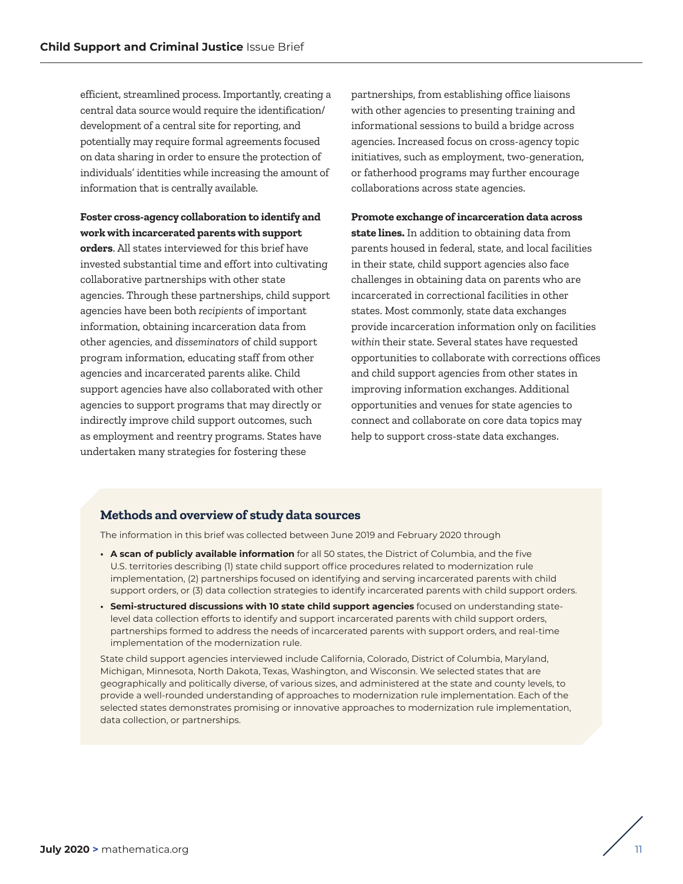efficient, streamlined process. Importantly, creating a central data source would require the identification/ development of a central site for reporting, and potentially may require formal agreements focused on data sharing in order to ensure the protection of individuals' identities while increasing the amount of information that is centrally available.

**Foster cross-agency collaboration to identify and work with incarcerated parents with support** 

**orders**. All states interviewed for this brief have invested substantial time and effort into cultivating collaborative partnerships with other state agencies. Through these partnerships, child support agencies have been both *recipients* of important information, obtaining incarceration data from other agencies, and *disseminators* of child support program information, educating staff from other agencies and incarcerated parents alike. Child support agencies have also collaborated with other agencies to support programs that may directly or indirectly improve child support outcomes, such as employment and reentry programs. States have undertaken many strategies for fostering these

partnerships, from establishing office liaisons with other agencies to presenting training and informational sessions to build a bridge across agencies. Increased focus on cross-agency topic initiatives, such as employment, two-generation, or fatherhood programs may further encourage collaborations across state agencies.

#### **Promote exchange of incarceration data across**

**state lines.** In addition to obtaining data from parents housed in federal, state, and local facilities in their state, child support agencies also face challenges in obtaining data on parents who are incarcerated in correctional facilities in other states. Most commonly, state data exchanges provide incarceration information only on facilities *within* their state. Several states have requested opportunities to collaborate with corrections offices and child support agencies from other states in improving information exchanges. Additional opportunities and venues for state agencies to connect and collaborate on core data topics may help to support cross-state data exchanges.

#### **Methods and overview of study data sources**

The information in this brief was collected between June 2019 and February 2020 through

- **A scan of publicly available information** for all 50 states, the District of Columbia, and the five U.S. territories describing (1) state child support office procedures related to modernization rule implementation, (2) partnerships focused on identifying and serving incarcerated parents with child support orders, or (3) data collection strategies to identify incarcerated parents with child support orders.
- **Semi-structured discussions with 10 state child support agencies** focused on understanding statelevel data collection efforts to identify and support incarcerated parents with child support orders, partnerships formed to address the needs of incarcerated parents with support orders, and real-time implementation of the modernization rule.

State child support agencies interviewed include California, Colorado, District of Columbia, Maryland, Michigan, Minnesota, North Dakota, Texas, Washington, and Wisconsin. We selected states that are geographically and politically diverse, of various sizes, and administered at the state and county levels, to provide a well-rounded understanding of approaches to modernization rule implementation. Each of the selected states demonstrates promising or innovative approaches to modernization rule implementation, data collection, or partnerships.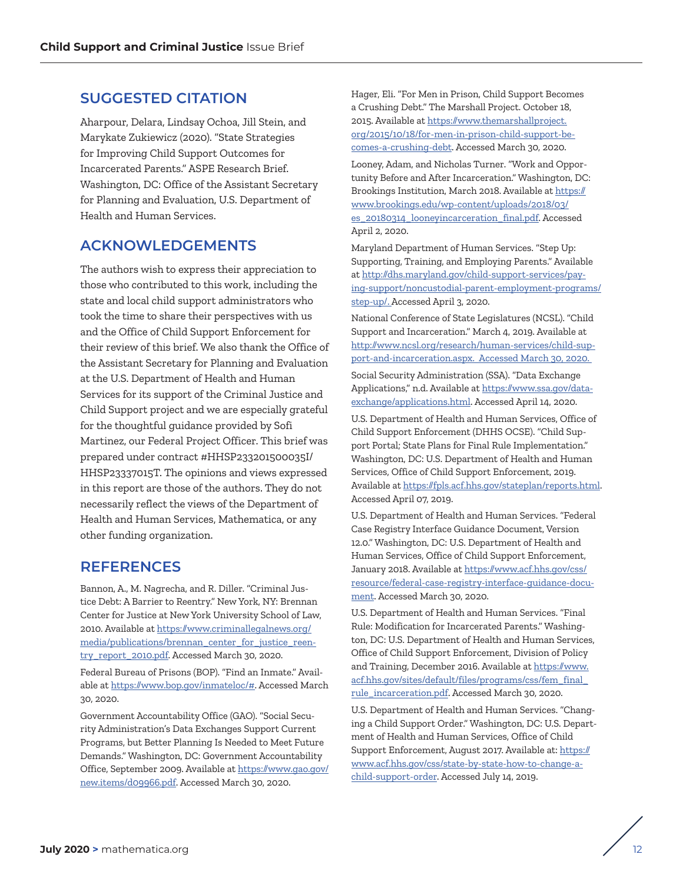### **SUGGESTED CITATION**

Aharpour, Delara, Lindsay Ochoa, Jill Stein, and Marykate Zukiewicz (2020). "State Strategies for Improving Child Support Outcomes for Incarcerated Parents." ASPE Research Brief. Washington, DC: Office of the Assistant Secretary for Planning and Evaluation, U.S. Department of Health and Human Services.

### **ACKNOWLEDGEMENTS**

The authors wish to express their appreciation to those who contributed to this work, including the state and local child support administrators who took the time to share their perspectives with us and the Office of Child Support Enforcement for their review of this brief. We also thank the Office of the Assistant Secretary for Planning and Evaluation at the U.S. Department of Health and Human Services for its support of the Criminal Justice and Child Support project and we are especially grateful for the thoughtful guidance provided by Sofi Martinez, our Federal Project Officer. This brief was prepared under contract #HHSP233201500035I/ HHSP23337015T. The opinions and views expressed in this report are those of the authors. They do not necessarily reflect the views of the Department of Health and Human Services, Mathematica, or any other funding organization.

### **REFERENCES**

Bannon, A., M. Nagrecha, and R. Diller. "Criminal Justice Debt: A Barrier to Reentry." New York, NY: Brennan Center for Justice at New York University School of Law, 2010. Available at [https://www.criminallegalnews.org/](https://www.criminallegalnews.org/media/publications/brennan_center_for_justice_reentry_report_2010.pdf) [media/publications/brennan\\_center\\_for\\_justice\\_reen](https://www.criminallegalnews.org/media/publications/brennan_center_for_justice_reentry_report_2010.pdf)[try\\_report\\_2010.pdf.](https://www.criminallegalnews.org/media/publications/brennan_center_for_justice_reentry_report_2010.pdf) Accessed March 30, 2020.

Federal Bureau of Prisons (BOP). "Find an Inmate." Available at <https://www.bop.gov/inmateloc/#>. Accessed March 30, 2020.

Government Accountability Office (GAO). "Social Security Administration's Data Exchanges Support Current Programs, but Better Planning Is Needed to Meet Future Demands." Washington, DC: Government Accountability Office, September 2009. Available at [https://www.gao.gov/](https://www.gao.gov/new.items/d09966.pdf) [new.items/d09966.pdf.](https://www.gao.gov/new.items/d09966.pdf) Accessed March 30, 2020.

Hager, Eli. "For Men in Prison, Child Support Becomes a Crushing Debt." The Marshall Project. October 18, 2015. Available at [https://www.themarshallproject.](https://www.themarshallproject.org/2015/10/18/for-men-in-prison-child-support-becomes-a-crushing-debt) [org/2015/10/18/for-men-in-prison-child-support-be](https://www.themarshallproject.org/2015/10/18/for-men-in-prison-child-support-becomes-a-crushing-debt)[comes-a-crushing-debt](https://www.themarshallproject.org/2015/10/18/for-men-in-prison-child-support-becomes-a-crushing-debt). Accessed March 30, 2020.

Looney, Adam, and Nicholas Turner. "Work and Opportunity Before and After Incarceration." Washington, DC: Brookings Institution, March 2018. Available at [https://](https://www.brookings.edu/wp-content/uploads/2018/03/es_20180314_looneyincarceration_final.pdf) [www.brookings.edu/wp-content/uploads/2018/03/](https://www.brookings.edu/wp-content/uploads/2018/03/es_20180314_looneyincarceration_final.pdf) [es\\_20180314\\_looneyincarceration\\_final.pdf.](https://www.brookings.edu/wp-content/uploads/2018/03/es_20180314_looneyincarceration_final.pdf) Accessed April 2, 2020.

Maryland Department of Human Services. "Step Up: Supporting, Training, and Employing Parents." Available at [http://dhs.maryland.gov/child-support-services/pay](http://dhs.maryland.gov/child-support-services/paying-support/noncustodial-parent-employment-programs/step-up/)[ing-support/noncustodial-parent-employment-programs/](http://dhs.maryland.gov/child-support-services/paying-support/noncustodial-parent-employment-programs/step-up/) [step-up/](http://dhs.maryland.gov/child-support-services/paying-support/noncustodial-parent-employment-programs/step-up/). Accessed April 3, 2020.

National Conference of State Legislatures (NCSL). "Child Support and Incarceration." March 4, 2019. Available at [http://www.ncsl.org/research/human-services/child-sup](http://www.ncsl.org/research/human-services/child-support-and-incarceration.aspx)[port-and-incarceration.aspx.](http://www.ncsl.org/research/human-services/child-support-and-incarceration.aspx) Accessed March 30, 2020.

Social Security Administration (SSA). "Data Exchange Applications," n.d. Available at [https://www.ssa.gov/data](https://www.ssa.gov/dataexchange/applications.html)[exchange/applications.html.](https://www.ssa.gov/dataexchange/applications.html) Accessed April 14, 2020.

U.S. Department of Health and Human Services, Office of Child Support Enforcement (DHHS OCSE). "Child Support Portal; State Plans for Final Rule Implementation." Washington, DC: U.S. Department of Health and Human Services, Office of Child Support Enforcement, 2019. Available at <https://fpls.acf.hhs.gov/stateplan/reports.html>. Accessed April 07, 2019.

U.S. Department of Health and Human Services. "Federal Case Registry Interface Guidance Document, Version 12.0." Washington, DC: U.S. Department of Health and Human Services, Office of Child Support Enforcement, January 2018. Available at [https://www.acf.hhs.gov/css/](https://www.acf.hhs.gov/css/resource/federal-case-registry-interface-guidance-document) [resource/federal-case-registry-interface-guidance-docu](https://www.acf.hhs.gov/css/resource/federal-case-registry-interface-guidance-document)[ment](https://www.acf.hhs.gov/css/resource/federal-case-registry-interface-guidance-document). Accessed March 30, 2020.

U.S. Department of Health and Human Services. "Final Rule: Modification for Incarcerated Parents." Washington, DC: U.S. Department of Health and Human Services, Office of Child Support Enforcement, Division of Policy and Training, December 2016. Available at [https://www.](https://www.acf.hhs.gov/sites/default/files/programs/css/fem_final_rule_incarceration.pdf) [acf.hhs.gov/sites/default/files/programs/css/fem\\_final\\_](https://www.acf.hhs.gov/sites/default/files/programs/css/fem_final_rule_incarceration.pdf) [rule\\_incarceration.pdf.](https://www.acf.hhs.gov/sites/default/files/programs/css/fem_final_rule_incarceration.pdf) Accessed March 30, 2020.

U.S. Department of Health and Human Services. "Changing a Child Support Order." Washington, DC: U.S. Department of Health and Human Services, Office of Child Support Enforcement, August 2017. Available at: [https://](https://www.acf.hhs.gov/css/state-by-state-how-to-change-a-child-support-order) [www.acf.hhs.gov/css/state-by-state-how-to-change-a](https://www.acf.hhs.gov/css/state-by-state-how-to-change-a-child-support-order)[child-support-order.](https://www.acf.hhs.gov/css/state-by-state-how-to-change-a-child-support-order) Accessed July 14, 2019.